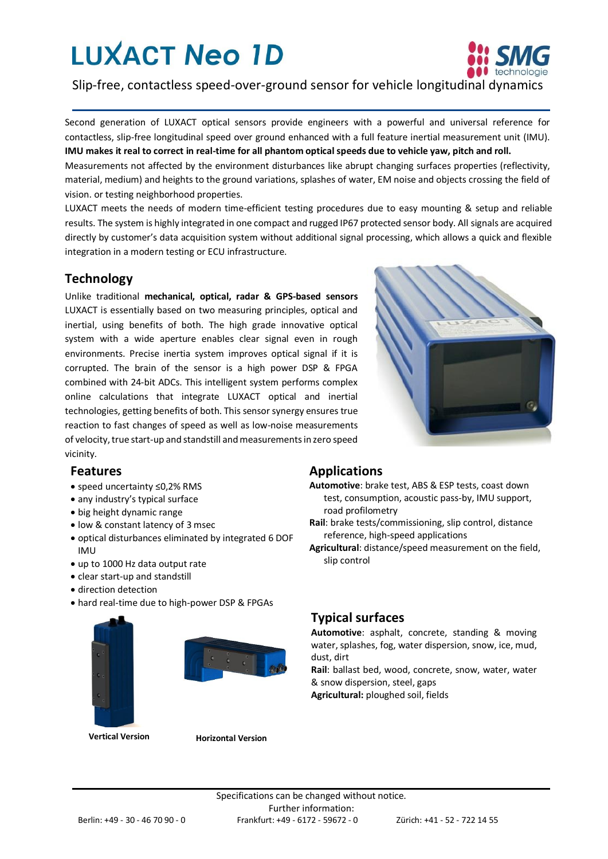# **LUXACT Neo 1D**



Slip-free, contactless speed-over-ground sensor for vehicle longitudinal dynamics

Second generation of LUXACT optical sensors provide engineers with a powerful and universal reference for contactless, slip-free longitudinal speed over ground enhanced with a full feature inertial measurement unit (IMU). **IMU makes it real to correct in real-time for all phantom optical speeds due to vehicle yaw, pitch and roll.**

Measurements not affected by the environment disturbances like abrupt changing surfaces properties (reflectivity, material, medium) and heights to the ground variations, splashes of water, EM noise and objects crossing the field of vision. or testing neighborhood properties.

LUXACT meets the needs of modern time-efficient testing procedures due to easy mounting & setup and reliable results. The system is highly integrated in one compact and rugged IP67 protected sensor body. All signals are acquired directly by customer's data acquisition system without additional signal processing, which allows a quick and flexible integration in a modern testing or ECU infrastructure.

### **Technology**

Unlike traditional **mechanical, optical, radar & GPS-based sensors**  LUXACT is essentially based on two measuring principles, optical and inertial, using benefits of both. The high grade innovative optical system with a wide aperture enables clear signal even in rough environments. Precise inertia system improves optical signal if it is corrupted. The brain of the sensor is a high power DSP & FPGA combined with 24-bit ADCs. This intelligent system performs complex online calculations that integrate LUXACT optical and inertial technologies, getting benefits of both. This sensor synergy ensures true reaction to fast changes of speed as well as low-noise measurements of velocity, true start-up and standstill and measurements in zero speed vicinity.

#### **Features**

- speed uncertainty ≤0,2% RMS
- any industry's typical surface
- big height dynamic range
- low & constant latency of 3 msec
- optical disturbances eliminated by integrated 6 DOF IMU
- up to 1000 Hz data output rate
- clear start-up and standstill
- direction detection
- hard real-time due to high-power DSP & FPGAs





**Vertical Version Horizontal Version**

### **Applications**

- **Automotive**: brake test, ABS & ESP tests, coast down test, consumption, acoustic pass-by, IMU support, road profilometry
- **Rail**: brake tests/commissioning, slip control, distance reference, high-speed applications
- **Agricultural**: distance/speed measurement on the field, slip control

#### **Typical surfaces**

**Automotive**: asphalt, concrete, standing & moving water, splashes, fog, water dispersion, snow, ice, mud, dust, dirt

**Rail**: ballast bed, wood, concrete, snow, water, water & snow dispersion, steel, gaps

**Agricultural:** ploughed soil, fields

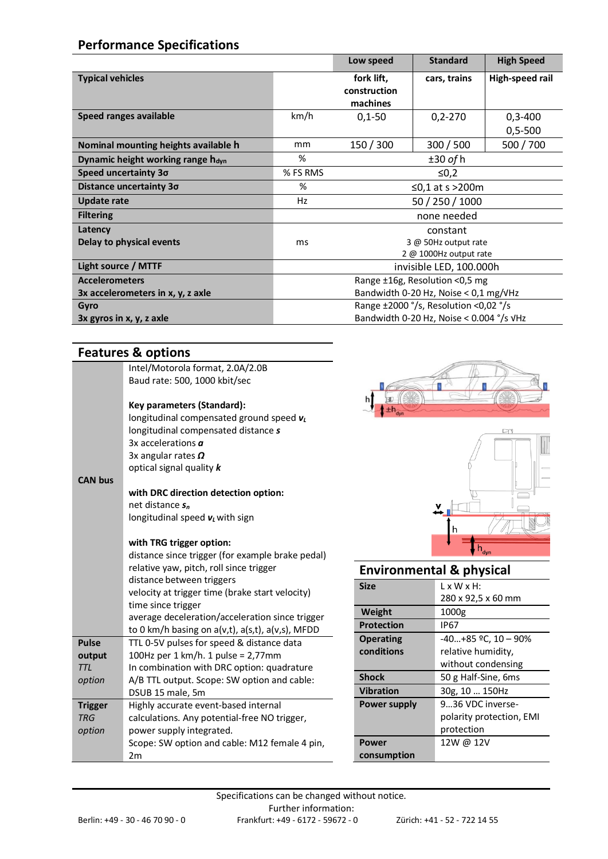# **Performance Specifications**

|                                               |                                         | Low speed                                           | <b>Standard</b>        | <b>High Speed</b> |
|-----------------------------------------------|-----------------------------------------|-----------------------------------------------------|------------------------|-------------------|
| <b>Typical vehicles</b>                       |                                         | fork lift,<br>construction                          | cars, trains           | High-speed rail   |
|                                               |                                         | machines                                            |                        |                   |
| Speed ranges available                        | km/h                                    | $0,1-50$                                            | $0,2 - 270$            | $0,3-400$         |
|                                               |                                         |                                                     |                        | $0,5 - 500$       |
| Nominal mounting heights available h          | mm                                      | 150 / 300                                           | 300 / 500              | 500/700           |
| Dynamic height working range h <sub>dyn</sub> | %                                       |                                                     | $±30$ of h             |                   |
| Speed uncertainty 30                          | % FS RMS                                |                                                     | ≤0,2                   |                   |
| Distance uncertainty 30                       | %                                       |                                                     | ≤0,1 at s >200m        |                   |
| Update rate                                   | Hz                                      |                                                     | 50 / 250 / 1000        |                   |
| <b>Filtering</b>                              |                                         | none needed                                         |                        |                   |
| Latency                                       |                                         |                                                     | constant               |                   |
| Delay to physical events                      | ms                                      |                                                     | 3 @ 50Hz output rate   |                   |
|                                               |                                         |                                                     | 2 @ 1000Hz output rate |                   |
| Light source / MTTF                           | invisible LED, 100.000h                 |                                                     |                        |                   |
| <b>Accelerometers</b>                         | Range ±16g, Resolution <0,5 mg          |                                                     |                        |                   |
| 3x accelerometers in x, y, z axle             | Bandwidth 0-20 Hz, Noise $<$ 0,1 mg/VHz |                                                     |                        |                   |
| Gyro                                          | Range ±2000 °/s, Resolution <0,02 °/s   |                                                     |                        |                   |
| 3x gyros in x, y, z axle                      |                                         | Bandwidth 0-20 Hz, Noise $<$ 0.004 $\degree$ /s VHz |                        |                   |

### **Features & options**

| Intel/Motorola format, 2.0A/2.0B<br>Baud rate: 500, 1000 kbit/sec<br>Key parameters (Standard):<br>longitudinal compensated ground speed $v_L$<br>longitudinal compensated distance s<br>3x accelerations $\boldsymbol{a}$<br>3x angular rates $\Omega$<br>optical signal quality k<br><b>CAN bus</b><br>with DRC direction detection option:<br>net distance s <sub>n</sub><br>longitudinal speed $v_l$ with sign<br>with TRG trigger option:<br>distance since trigger (for example brake pedal)<br>relative yaw, pitch, roll since trigger<br>distance between triggers<br>velocity at trigger time (brake start velocity)<br>time since trigger<br>average deceleration/acceleration since trigger<br>to 0 km/h basing on a(v,t), a(s,t), a(v,s), MFDD<br><b>Pulse</b><br>TTL 0-5V pulses for speed & distance data<br>100Hz per 1 km/h. 1 pulse = 2,77mm<br>output<br><b>TTL</b><br>In combination with DRC option: quadrature<br>A/B TTL output. Scope: SW option and cable:<br>option<br>DSUB 15 male, 5m<br>Highly accurate event-based internal<br><b>Trigger</b><br>calculations. Any potential-free NO trigger,<br><b>TRG</b><br>option<br>power supply integrated.<br>Scope: SW option and cable: M12 female 4 pin,<br>2m |  |  |
|---------------------------------------------------------------------------------------------------------------------------------------------------------------------------------------------------------------------------------------------------------------------------------------------------------------------------------------------------------------------------------------------------------------------------------------------------------------------------------------------------------------------------------------------------------------------------------------------------------------------------------------------------------------------------------------------------------------------------------------------------------------------------------------------------------------------------------------------------------------------------------------------------------------------------------------------------------------------------------------------------------------------------------------------------------------------------------------------------------------------------------------------------------------------------------------------------------------------------------------|--|--|
|                                                                                                                                                                                                                                                                                                                                                                                                                                                                                                                                                                                                                                                                                                                                                                                                                                                                                                                                                                                                                                                                                                                                                                                                                                       |  |  |
|                                                                                                                                                                                                                                                                                                                                                                                                                                                                                                                                                                                                                                                                                                                                                                                                                                                                                                                                                                                                                                                                                                                                                                                                                                       |  |  |
|                                                                                                                                                                                                                                                                                                                                                                                                                                                                                                                                                                                                                                                                                                                                                                                                                                                                                                                                                                                                                                                                                                                                                                                                                                       |  |  |
|                                                                                                                                                                                                                                                                                                                                                                                                                                                                                                                                                                                                                                                                                                                                                                                                                                                                                                                                                                                                                                                                                                                                                                                                                                       |  |  |
|                                                                                                                                                                                                                                                                                                                                                                                                                                                                                                                                                                                                                                                                                                                                                                                                                                                                                                                                                                                                                                                                                                                                                                                                                                       |  |  |
|                                                                                                                                                                                                                                                                                                                                                                                                                                                                                                                                                                                                                                                                                                                                                                                                                                                                                                                                                                                                                                                                                                                                                                                                                                       |  |  |
|                                                                                                                                                                                                                                                                                                                                                                                                                                                                                                                                                                                                                                                                                                                                                                                                                                                                                                                                                                                                                                                                                                                                                                                                                                       |  |  |
|                                                                                                                                                                                                                                                                                                                                                                                                                                                                                                                                                                                                                                                                                                                                                                                                                                                                                                                                                                                                                                                                                                                                                                                                                                       |  |  |
|                                                                                                                                                                                                                                                                                                                                                                                                                                                                                                                                                                                                                                                                                                                                                                                                                                                                                                                                                                                                                                                                                                                                                                                                                                       |  |  |
|                                                                                                                                                                                                                                                                                                                                                                                                                                                                                                                                                                                                                                                                                                                                                                                                                                                                                                                                                                                                                                                                                                                                                                                                                                       |  |  |
|                                                                                                                                                                                                                                                                                                                                                                                                                                                                                                                                                                                                                                                                                                                                                                                                                                                                                                                                                                                                                                                                                                                                                                                                                                       |  |  |
|                                                                                                                                                                                                                                                                                                                                                                                                                                                                                                                                                                                                                                                                                                                                                                                                                                                                                                                                                                                                                                                                                                                                                                                                                                       |  |  |
|                                                                                                                                                                                                                                                                                                                                                                                                                                                                                                                                                                                                                                                                                                                                                                                                                                                                                                                                                                                                                                                                                                                                                                                                                                       |  |  |
|                                                                                                                                                                                                                                                                                                                                                                                                                                                                                                                                                                                                                                                                                                                                                                                                                                                                                                                                                                                                                                                                                                                                                                                                                                       |  |  |
|                                                                                                                                                                                                                                                                                                                                                                                                                                                                                                                                                                                                                                                                                                                                                                                                                                                                                                                                                                                                                                                                                                                                                                                                                                       |  |  |
|                                                                                                                                                                                                                                                                                                                                                                                                                                                                                                                                                                                                                                                                                                                                                                                                                                                                                                                                                                                                                                                                                                                                                                                                                                       |  |  |
|                                                                                                                                                                                                                                                                                                                                                                                                                                                                                                                                                                                                                                                                                                                                                                                                                                                                                                                                                                                                                                                                                                                                                                                                                                       |  |  |
|                                                                                                                                                                                                                                                                                                                                                                                                                                                                                                                                                                                                                                                                                                                                                                                                                                                                                                                                                                                                                                                                                                                                                                                                                                       |  |  |
|                                                                                                                                                                                                                                                                                                                                                                                                                                                                                                                                                                                                                                                                                                                                                                                                                                                                                                                                                                                                                                                                                                                                                                                                                                       |  |  |
|                                                                                                                                                                                                                                                                                                                                                                                                                                                                                                                                                                                                                                                                                                                                                                                                                                                                                                                                                                                                                                                                                                                                                                                                                                       |  |  |
|                                                                                                                                                                                                                                                                                                                                                                                                                                                                                                                                                                                                                                                                                                                                                                                                                                                                                                                                                                                                                                                                                                                                                                                                                                       |  |  |
|                                                                                                                                                                                                                                                                                                                                                                                                                                                                                                                                                                                                                                                                                                                                                                                                                                                                                                                                                                                                                                                                                                                                                                                                                                       |  |  |
|                                                                                                                                                                                                                                                                                                                                                                                                                                                                                                                                                                                                                                                                                                                                                                                                                                                                                                                                                                                                                                                                                                                                                                                                                                       |  |  |
|                                                                                                                                                                                                                                                                                                                                                                                                                                                                                                                                                                                                                                                                                                                                                                                                                                                                                                                                                                                                                                                                                                                                                                                                                                       |  |  |
|                                                                                                                                                                                                                                                                                                                                                                                                                                                                                                                                                                                                                                                                                                                                                                                                                                                                                                                                                                                                                                                                                                                                                                                                                                       |  |  |
|                                                                                                                                                                                                                                                                                                                                                                                                                                                                                                                                                                                                                                                                                                                                                                                                                                                                                                                                                                                                                                                                                                                                                                                                                                       |  |  |
|                                                                                                                                                                                                                                                                                                                                                                                                                                                                                                                                                                                                                                                                                                                                                                                                                                                                                                                                                                                                                                                                                                                                                                                                                                       |  |  |
|                                                                                                                                                                                                                                                                                                                                                                                                                                                                                                                                                                                                                                                                                                                                                                                                                                                                                                                                                                                                                                                                                                                                                                                                                                       |  |  |
|                                                                                                                                                                                                                                                                                                                                                                                                                                                                                                                                                                                                                                                                                                                                                                                                                                                                                                                                                                                                                                                                                                                                                                                                                                       |  |  |
|                                                                                                                                                                                                                                                                                                                                                                                                                                                                                                                                                                                                                                                                                                                                                                                                                                                                                                                                                                                                                                                                                                                                                                                                                                       |  |  |
|                                                                                                                                                                                                                                                                                                                                                                                                                                                                                                                                                                                                                                                                                                                                                                                                                                                                                                                                                                                                                                                                                                                                                                                                                                       |  |  |





## **Environmental & physical**

| <b>Size</b>       | $L \times W \times H$ :  |  |
|-------------------|--------------------------|--|
|                   | 280 x 92,5 x 60 mm       |  |
| Weight            | 1000 <sub>g</sub>        |  |
| <b>Protection</b> | IP67                     |  |
| <b>Operating</b>  | $-40+85$ °C, 10 - 90%    |  |
| conditions        | relative humidity,       |  |
|                   | without condensing       |  |
| <b>Shock</b>      | 50 g Half-Sine, 6ms      |  |
| <b>Vibration</b>  | 30g, 10  150Hz           |  |
| Power supply      | 936 VDC inverse-         |  |
|                   | polarity protection, EMI |  |
|                   | protection               |  |
| Power             | 12W @ 12V                |  |
| consumption       |                          |  |